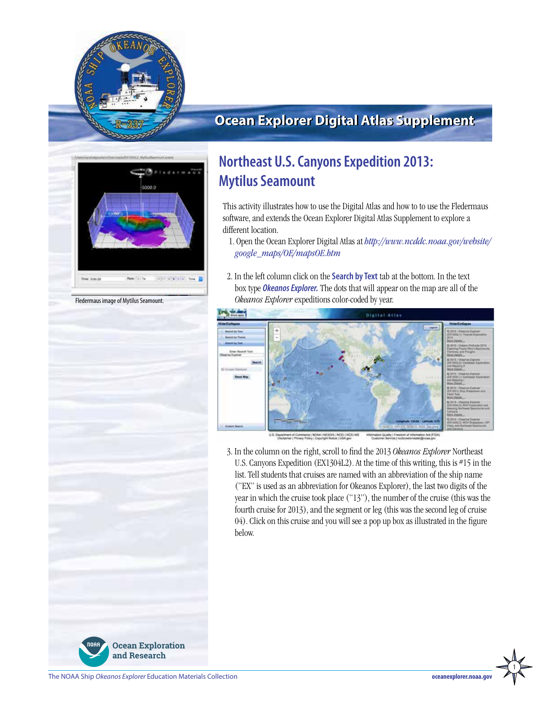

## **Ocean Explorer Digital Atlas Supplement**



Fledermaus image of Mytilus Seamount.

# **Northeast U.S. Canyons Expedition 2013: Mytilus Seamount**

This activity illustrates how to use the Digital Atlas and how to to use the Fledermaus software, and extends the Ocean Explorer Digital Atlas Supplement to explore a different location.

 1. Open the Ocean Explorer Digital Atlas at *http://www.ncddc.noaa.gov/website/ google\_maps/OE/mapsOE.htm*

2. In the left column click on the **Search by Text** tab at the bottom. In the text box type *Okeanos Explorer.* The dots that will appear on the map are all of the *Okeanos Explorer* expeditions color-coded by year.



3. In the column on the right, scroll to find the 2013 *Okeanos Explorer* Northeast U.S. Canyons Expedition (EX1304L2). At the time of this writing, this is #15 in the list. Tell students that cruises are named with an abbreviation of the ship name ("EX" is used as an abbreviation for Okeanos Explorer), the last two digits of the year in which the cruise took place ("13"), the number of the cruise (this was the fourth cruise for 2013), and the segment or leg (this was the second leg of cruise 04). Click on this cruise and you will see a pop up box as illustrated in the figure below.



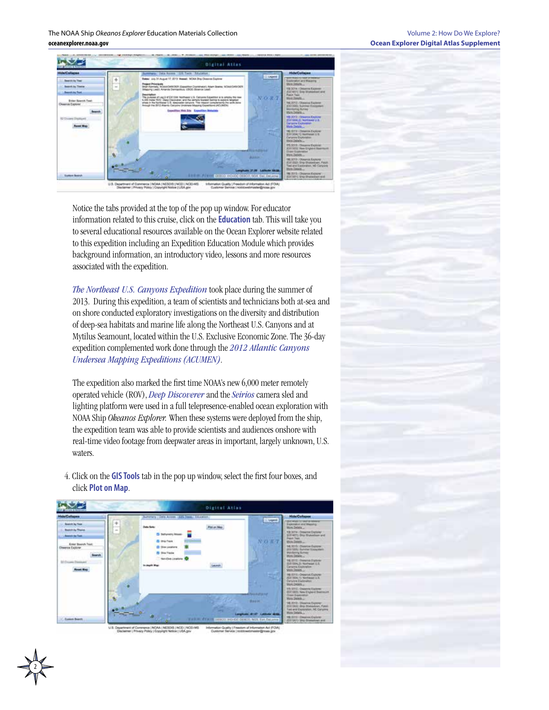The NOAA Ship *Okeanos Explorer* Education Materials Collection **oceanexplorer.noaa.gov**



Notice the tabs provided at the top of the pop up window. For educator information related to this cruise, click on the **Education** tab. This will take you to several educational resources available on the Ocean Explorer website related to this expedition including an Expedition Education Module which provides background information, an introductory video, lessons and more resources associated with the expedition.

*[The Northeast U.S. Canyons Expedition](http://oceanexplorer.noaa.gov/okeanos/explorations/ex1304/welcome.html)* took place during the summer of 2013. During this expedition, a team of scientists and technicians both at-sea and on shore conducted exploratory investigations on the diversity and distribution of deep-sea habitats and marine life along the Northeast U.S. Canyons and at Mytilus Seamount, located within the U.S. Exclusive Economic Zone. The 36-day expedition complemented work done through the *[2012 Atlantic Canyons](http://oceanexplorer.noaa.gov/okeanos/explorations/acumen12/welcome.html)  [Undersea Mapping Expeditions \(ACUMEN\)](http://oceanexplorer.noaa.gov/okeanos/explorations/acumen12/welcome.html)*.

The expedition also marked the first time NOAA's new 6,000 meter remotely operated vehicle (ROV), *[Deep Discoverer](http://oceanexplorer.noaa.gov/okeanos/explorations/ex1304/background/plan/media/rov.html)* and the *[Seirios](http://oceanexplorer.noaa.gov/okeanos/explorations/ex1103/logs/slideshow/seirios_parts/flash_slideshow.html)* camera sled and lighting platform were used in a full telepresence-enabled ocean exploration with NOAA Ship *Okeanos Explorer.* When these systems were deployed from the ship, the expedition team was able to provide scientists and audiences onshore with real-time video footage from deepwater areas in important, largely unknown, U.S. waters.



4. Click on the **GIS Tools** tab in the pop up window, select the first four boxes, and click **Plot on Map**.

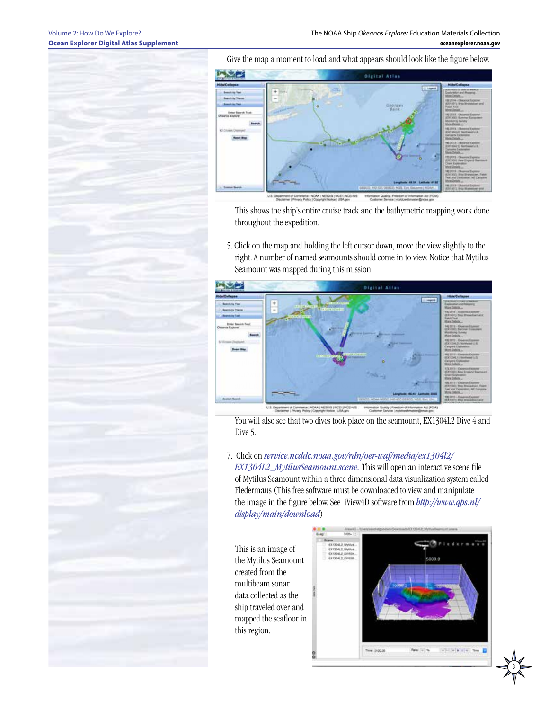#### Volume 2: How Do We Explore? **Ocean Explorer Digital Atlas Supplement**

Give the map a moment to load and what appears should look like the figure below.



This shows the ship's entire cruise track and the bathymetric mapping work done throughout the expedition.

5. Click on the map and holding the left cursor down, move the view slightly to the right. A number of named seamounts should come in to view. Notice that Mytilus Seamount was mapped during this mission.



You will also see that two dives took place on the seamount, EX1304L2 Dive 4 and Dive 5.

7. Click on *[service.ncddc.noaa.gov/rdn/oer-waf/media/ex1304l2/](http://service.ncddc.noaa.gov/rdn/oer-waf/media/ex1304l2/EX1304L2_MytilusSeamount.scene)*

*[EX1304L2\\_MytilusSeamount.scene.](http://service.ncddc.noaa.gov/rdn/oer-waf/media/ex1304l2/EX1304L2_MytilusSeamount.scene)* This will open an interactive scene file of Mytilus Seamount within a three dimensional data visualization system called Fledermaus (This free software must be downloaded to view and manipulate the image in the figure below. See iView4D software from *[http://www.qps.nl/](http://www.qps.nl/display/main/download) [display/main/download](http://www.qps.nl/display/main/download)*)

This is an image of the Mytilus Seamount created from the multibeam sonar data collected as the ship traveled over and mapped the seafloor in this region.



3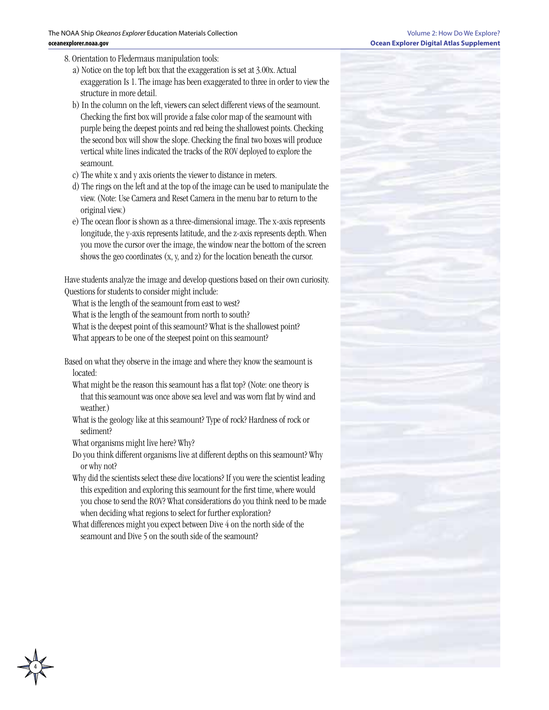- 8. Orientation to Fledermaus manipulation tools:
	- a) Notice on the top left box that the exaggeration is set at 3.00x. Actual exaggeration Is 1. The image has been exaggerated to three in order to view the structure in more detail.
	- b) In the column on the left, viewers can select different views of the seamount. Checking the first box will provide a false color map of the seamount with purple being the deepest points and red being the shallowest points. Checking the second box will show the slope. Checking the final two boxes will produce vertical white lines indicated the tracks of the ROV deployed to explore the seamount.
	- c) The white x and y axis orients the viewer to distance in meters.
	- d) The rings on the left and at the top of the image can be used to manipulate the view. (Note: Use Camera and Reset Camera in the menu bar to return to the original view.)
	- e) The ocean floor is shown as a three-dimensional image. The x-axis represents longitude, the y-axis represents latitude, and the z-axis represents depth. When you move the cursor over the image, the window near the bottom of the screen shows the geo coordinates (x, y, and z) for the location beneath the cursor.

Have students analyze the image and develop questions based on their own curiosity. Questions for students to consider might include:

What is the length of the seamount from east to west? What is the length of the seamount from north to south? What is the deepest point of this seamount? What is the shallowest point? What appears to be one of the steepest point on this seamount?

Based on what they observe in the image and where they know the seamount is located:

What might be the reason this seamount has a flat top? (Note: one theory is that this seamount was once above sea level and was worn flat by wind and weather.)

What is the geology like at this seamount? Type of rock? Hardness of rock or sediment?

What organisms might live here? Why?

Do you think different organisms live at different depths on this seamount? Why or why not?

Why did the scientists select these dive locations? If you were the scientist leading this expedition and exploring this seamount for the first time, where would you chose to send the ROV? What considerations do you think need to be made when deciding what regions to select for further exploration?

What differences might you expect between Dive 4 on the north side of the seamount and Dive 5 on the south side of the seamount?

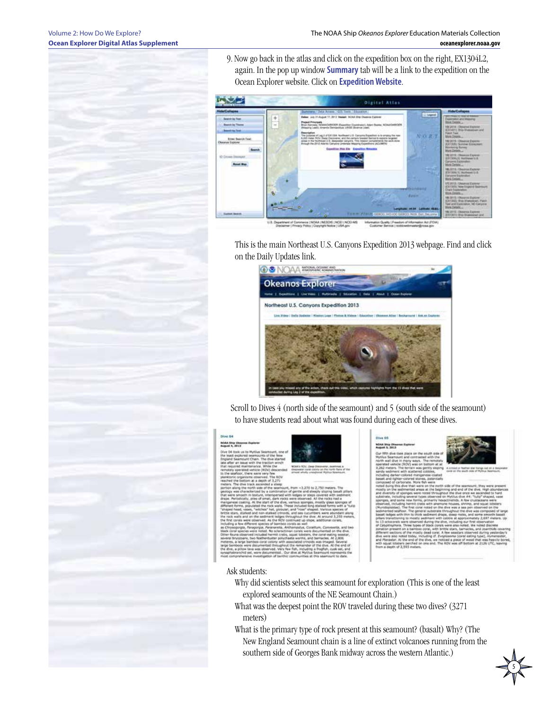9. Now go back in the atlas and click on the expedition box on the right, EX1304L2, again. In the pop up window **Summary** tab will be a link to the expedition on the Ocean Explorer website. Click on **Expedition Website**.



This is the main Northeast U.S. Canyons Expedition 2013 webpage. Find and click on the Daily Updates link.



 Scroll to Dives 4 (north side of the seamount) and 5 (south side of the seamount) to have students read about what was found during each of these dives.



Ask students:

- Why did scientists select this seamount for exploration (This is one of the least explored seamounts of the NE Seamount Chain.)
- What was the deepest point the ROV traveled during these two dives? (3271 meters)
- What is the primary type of rock present at this seamount? (basalt) Why? (The New England Seamount chain is a line of extinct volcanoes running from the southern side of Georges Bank midway across the western Atlantic.)